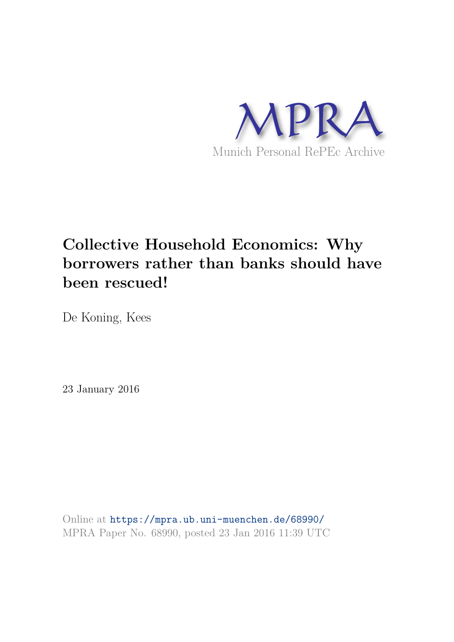

# **Collective Household Economics: Why borrowers rather than banks should have been rescued!**

De Koning, Kees

23 January 2016

Online at https://mpra.ub.uni-muenchen.de/68990/ MPRA Paper No. 68990, posted 23 Jan 2016 11:39 UTC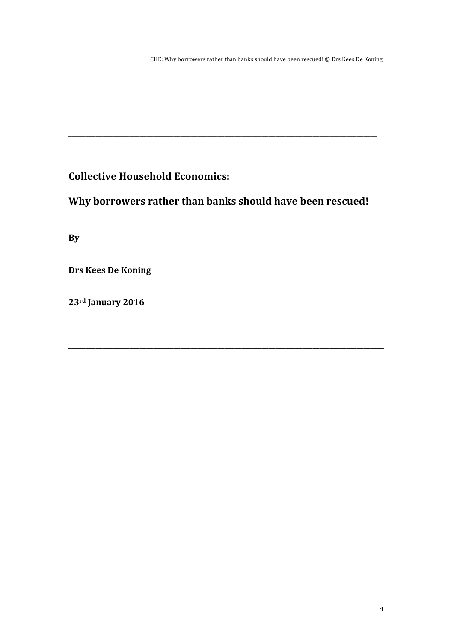**Collective Household Economics:** 

Why borrowers rather than banks should have been rescued!

**\_\_\_\_\_\_\_\_\_\_\_\_\_\_\_\_\_\_\_\_\_\_\_\_\_\_\_\_\_\_\_\_\_\_\_\_\_\_\_\_\_\_\_\_\_\_\_\_\_\_\_\_\_\_\_\_\_\_\_\_\_\_\_\_\_\_\_\_\_\_\_\_\_\_\_\_\_\_\_\_\_\_\_\_\_\_\_\_\_\_\_\_\_**

**\_\_\_\_\_\_\_\_\_\_\_\_\_\_\_\_\_\_\_\_\_\_\_\_\_\_\_\_\_\_\_\_\_\_\_\_\_\_\_\_\_\_\_\_\_\_\_\_\_\_\_\_\_\_\_\_\_\_\_\_\_\_\_\_\_\_\_\_\_\_\_\_\_\_\_\_\_\_\_\_\_\_\_\_\_\_\_\_\_\_\_**

**By**

**Drs Kees De Koning** 

**23rd January 2016**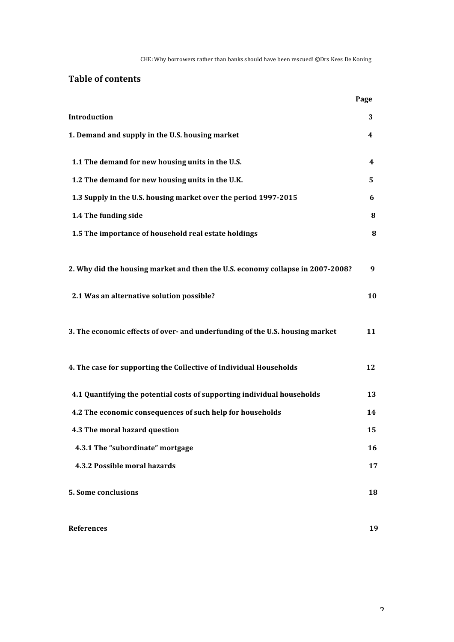CHE: Why borrowers rather than banks should have been rescued! @Drs Kees De Koning

# **Table of contents**

|                                                                                | Page     |
|--------------------------------------------------------------------------------|----------|
| Introduction                                                                   | 3        |
| 1. Demand and supply in the U.S. housing market                                | 4        |
| 1.1 The demand for new housing units in the U.S.                               | 4        |
| 1.2 The demand for new housing units in the U.K.                               | 5        |
| 1.3 Supply in the U.S. housing market over the period 1997-2015                | 6        |
| 1.4 The funding side                                                           | 8        |
| 1.5 The importance of household real estate holdings                           | $\bf{8}$ |
| 2. Why did the housing market and then the U.S. economy collapse in 2007-2008? | 9        |
| 2.1 Was an alternative solution possible?                                      | 10       |
| 3. The economic effects of over- and underfunding of the U.S. housing market   | 11       |
| 4. The case for supporting the Collective of Individual Households             | 12       |
| 4.1 Quantifying the potential costs of supporting individual households        | 13       |
| 4.2 The economic consequences of such help for households                      | 14       |
| 4.3 The moral hazard question                                                  | 15       |
| 4.3.1 The "subordinate" mortgage                                               | 16       |
| 4.3.2 Possible moral hazards                                                   | 17       |
| <b>5. Some conclusions</b>                                                     | 18       |
|                                                                                |          |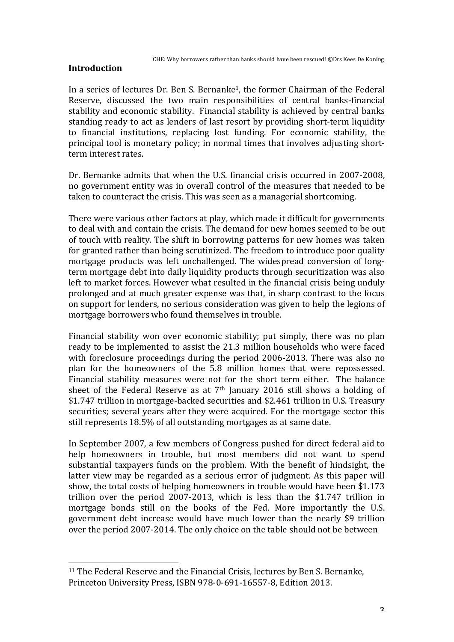# **Introduction**

In a series of lectures Dr. Ben S. Bernanke<sup>1</sup>, the former Chairman of the Federal Reserve, discussed the two main responsibilities of central banks-financial stability and economic stability. Financial stability is achieved by central banks standing ready to act as lenders of last resort by providing short-term liquidity to financial institutions, replacing lost funding. For economic stability, the principal tool is monetary policy; in normal times that involves adjusting shortterm interest rates.

Dr. Bernanke admits that when the U.S. financial crisis occurred in 2007-2008. no government entity was in overall control of the measures that needed to be taken to counteract the crisis. This was seen as a managerial shortcoming.

There were various other factors at play, which made it difficult for governments to deal with and contain the crisis. The demand for new homes seemed to be out of touch with reality. The shift in borrowing patterns for new homes was taken for granted rather than being scrutinized. The freedom to introduce poor quality mortgage products was left unchallenged. The widespread conversion of longterm mortgage debt into daily liquidity products through securitization was also left to market forces. However what resulted in the financial crisis being unduly prolonged and at much greater expense was that, in sharp contrast to the focus on support for lenders, no serious consideration was given to help the legions of mortgage borrowers who found themselves in trouble.

Financial stability won over economic stability; put simply, there was no plan ready to be implemented to assist the 21.3 million households who were faced with foreclosure proceedings during the period  $2006-2013$ . There was also no plan for the homeowners of the 5.8 million homes that were repossessed. Financial stability measures were not for the short term either. The balance sheet of the Federal Reserve as at  $7<sup>th</sup>$  January 2016 still shows a holding of \$1.747 trillion in mortgage-backed securities and \$2.461 trillion in U.S. Treasury securities; several years after they were acquired. For the mortgage sector this still represents 18.5% of all outstanding mortgages as at same date.

In September 2007, a few members of Congress pushed for direct federal aid to help homeowners in trouble, but most members did not want to spend substantial taxpayers funds on the problem. With the benefit of hindsight, the latter view may be regarded as a serious error of judgment. As this paper will show, the total costs of helping homeowners in trouble would have been \$1.173 trillion over the period  $2007-2013$ , which is less than the \$1.747 trillion in mortgage bonds still on the books of the Fed. More importantly the U.S. government debt increase would have much lower than the nearly \$9 trillion over the period 2007-2014. The only choice on the table should not be between

 $11$  The Federal Reserve and the Financial Crisis, lectures by Ben S. Bernanke, Princeton University Press, ISBN 978-0-691-16557-8, Edition 2013.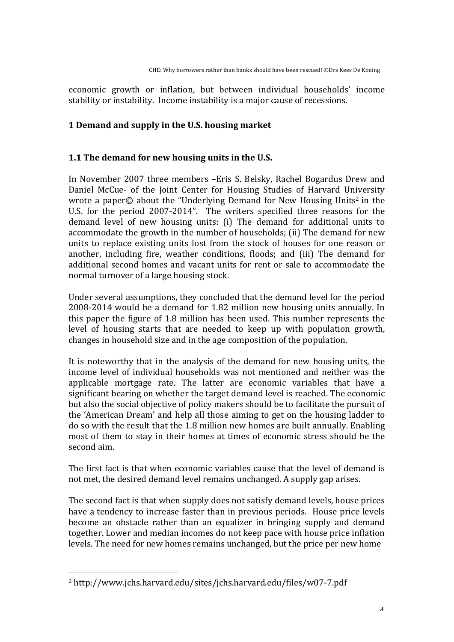economic growth or inflation, but between individual households' income stability or instability. Income instability is a major cause of recessions.

# **1 Demand and supply in the U.S. housing market**

# **1.1** The demand for new housing units in the U.S.

In November 2007 three members -Eris S. Belsky, Rachel Bogardus Drew and Daniel McCue- of the Joint Center for Housing Studies of Harvard University wrote a paper $\odot$  about the "Underlying Demand for New Housing Units<sup>2</sup> in the U.S. for the period 2007-2014". The writers specified three reasons for the demand level of new housing units: (i) The demand for additional units to accommodate the growth in the number of households; (ii) The demand for new units to replace existing units lost from the stock of houses for one reason or another, including fire, weather conditions, floods; and (iii) The demand for additional second homes and vacant units for rent or sale to accommodate the normal turnover of a large housing stock.

Under several assumptions, they concluded that the demand level for the period 2008-2014 would be a demand for 1.82 million new housing units annually. In this paper the figure of  $1.8$  million has been used. This number represents the level of housing starts that are needed to keep up with population growth, changes in household size and in the age composition of the population.

It is noteworthy that in the analysis of the demand for new housing units, the income level of individual households was not mentioned and neither was the applicable mortgage rate. The latter are economic variables that have a significant bearing on whether the target demand level is reached. The economic but also the social objective of policy makers should be to facilitate the pursuit of the 'American Dream' and help all those aiming to get on the housing ladder to do so with the result that the 1.8 million new homes are built annually. Enabling most of them to stay in their homes at times of economic stress should be the second aim.

The first fact is that when economic variables cause that the level of demand is not met, the desired demand level remains unchanged. A supply gap arises.

The second fact is that when supply does not satisfy demand levels, house prices have a tendency to increase faster than in previous periods. House price levels become an obstacle rather than an equalizer in bringing supply and demand together. Lower and median incomes do not keep pace with house price inflation levels. The need for new homes remains unchanged, but the price per new home

<sup>2</sup> http://www.jchs.harvard.edu/sites/jchs.harvard.edu/files/w07-7.pdf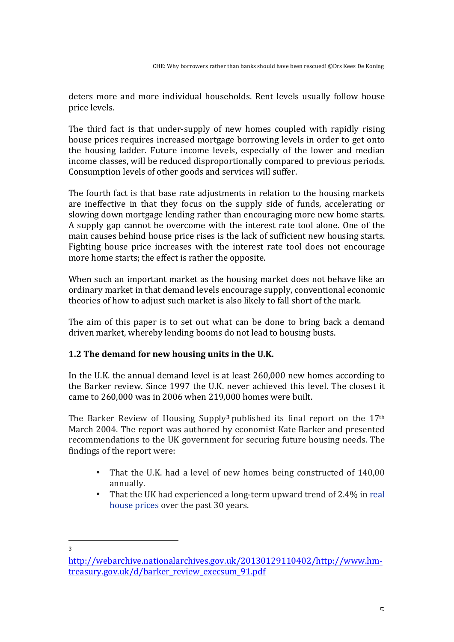deters more and more individual households. Rent levels usually follow house price levels.

The third fact is that under-supply of new homes coupled with rapidly rising house prices requires increased mortgage borrowing levels in order to get onto the housing ladder. Future income levels, especially of the lower and median income classes, will be reduced disproportionally compared to previous periods. Consumption levels of other goods and services will suffer.

The fourth fact is that base rate adjustments in relation to the housing markets are ineffective in that they focus on the supply side of funds, accelerating or slowing down mortgage lending rather than encouraging more new home starts. A supply gap cannot be overcome with the interest rate tool alone. One of the main causes behind house price rises is the lack of sufficient new housing starts. Fighting house price increases with the interest rate tool does not encourage more home starts; the effect is rather the opposite.

When such an important market as the housing market does not behave like an ordinary market in that demand levels encourage supply, conventional economic theories of how to adjust such market is also likely to fall short of the mark.

The aim of this paper is to set out what can be done to bring back a demand driven market, whereby lending booms do not lead to housing busts.

# **1.2** The demand for new housing units in the U.K.

In the U.K. the annual demand level is at least 260,000 new homes according to the Barker review. Since 1997 the U.K. never achieved this level. The closest it came to  $260,000$  was in  $2006$  when  $219,000$  homes were built.

The Barker Review of Housing Supply<sup>3</sup> published its final report on the  $17<sup>th</sup>$ March 2004. The report was authored by economist Kate Barker and presented recommendations to the UK government for securing future housing needs. The findings of the report were:

- That the U.K. had a level of new homes being constructed of 140,00 annually.
- That the UK had experienced a long-term upward trend of 2.4% in real house prices over the past 30 years.

http://webarchive.nationalarchives.gov.uk/20130129110402/http://www.hmtreasury.gov.uk/d/barker\_review\_execsum\_91.pdf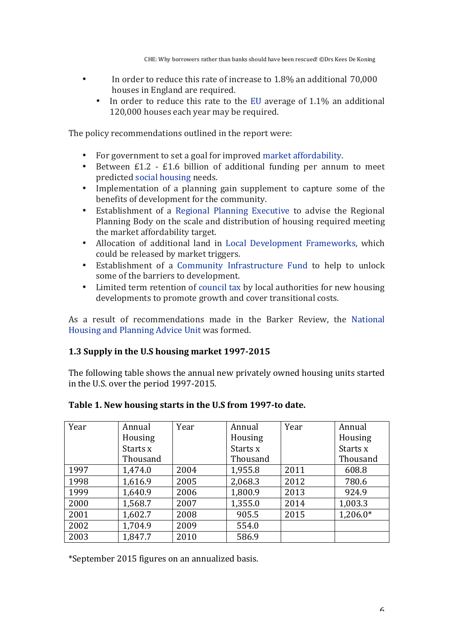- In order to reduce this rate of increase to  $1.8\%$  an additional  $70,000$ houses in England are required.
	- In order to reduce this rate to the EU average of  $1.1\%$  an additional 120,000 houses each year may be required.

The policy recommendations outlined in the report were:

- For government to set a goal for improved market affordability.
- Between  $£1.2 £1.6$  billion of additional funding per annum to meet predicted social housing needs.
- Implementation of a planning gain supplement to capture some of the benefits of development for the community.
- Establishment of a Regional Planning Executive to advise the Regional Planning Body on the scale and distribution of housing required meeting the market affordability target.
- Allocation of additional land in Local Development Frameworks, which could be released by market triggers.
- Establishment of a Community Infrastructure Fund to help to unlock some of the barriers to development.
- Limited term retention of council tax by local authorities for new housing developments to promote growth and cover transitional costs.

As a result of recommendations made in the Barker Review, the National Housing and Planning Advice Unit was formed.

# **1.3 Supply in the U.S housing market 1997-2015**

The following table shows the annual new privately owned housing units started in the U.S. over the period 1997-2015.

| Year | Annual   | Year | Annual   | Year | Annual     |
|------|----------|------|----------|------|------------|
|      | Housing  |      | Housing  |      | Housing    |
|      | Starts x |      | Starts x |      | Starts x   |
|      | Thousand |      | Thousand |      | Thousand   |
| 1997 | 1,474.0  | 2004 | 1,955.8  | 2011 | 608.8      |
| 1998 | 1,616.9  | 2005 | 2,068.3  | 2012 | 780.6      |
| 1999 | 1,640.9  | 2006 | 1,800.9  | 2013 | 924.9      |
| 2000 | 1,568.7  | 2007 | 1,355.0  | 2014 | 1,003.3    |
| 2001 | 1,602.7  | 2008 | 905.5    | 2015 | $1,206.0*$ |
| 2002 | 1,704.9  | 2009 | 554.0    |      |            |
| 2003 | 1,847.7  | 2010 | 586.9    |      |            |

# Table 1. New housing starts in the U.S from 1997-to date.

\*September 2015 figures on an annualized basis.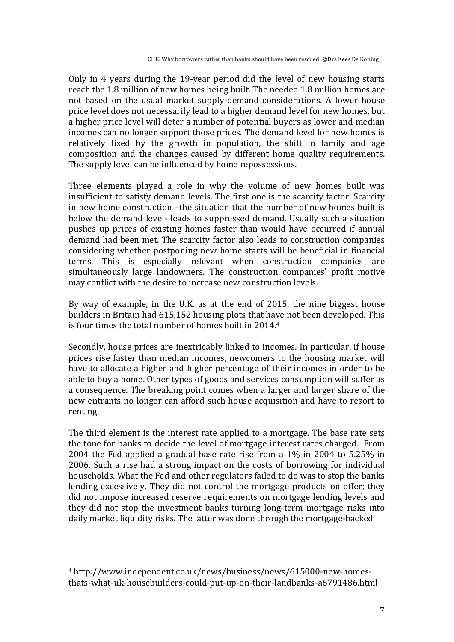Only in 4 years during the 19-year period did the level of new housing starts reach the 1.8 million of new homes being built. The needed 1.8 million homes are not based on the usual market supply-demand considerations. A lower house price level does not necessarily lead to a higher demand level for new homes, but a higher price level will deter a number of potential buyers as lower and median incomes can no longer support those prices. The demand level for new homes is relatively fixed by the growth in population, the shift in family and age composition and the changes caused by different home quality requirements. The supply level can be influenced by home repossessions.

Three elements played a role in why the volume of new homes built was insufficient to satisfy demand levels. The first one is the scarcity factor. Scarcity in new home construction –the situation that the number of new homes built is below the demand level- leads to suppressed demand. Usually such a situation pushes up prices of existing homes faster than would have occurred if annual demand had been met. The scarcity factor also leads to construction companies considering whether postponing new home starts will be beneficial in financial terms. This is especially relevant when construction companies are simultaneously large landowners. The construction companies' profit motive may conflict with the desire to increase new construction levels.

By way of example, in the U.K. as at the end of  $2015$ , the nine biggest house builders in Britain had 615,152 housing plots that have not been developed. This is four times the total number of homes built in  $2014.4$ 

Secondly, house prices are inextricably linked to incomes. In particular, if house prices rise faster than median incomes, newcomers to the housing market will have to allocate a higher and higher percentage of their incomes in order to be able to buy a home. Other types of goods and services consumption will suffer as a consequence. The breaking point comes when a larger and larger share of the new entrants no longer can afford such house acquisition and have to resort to renting.

The third element is the interest rate applied to a mortgage. The base rate sets the tone for banks to decide the level of mortgage interest rates charged. From 2004 the Fed applied a gradual base rate rise from a  $1\%$  in 2004 to 5.25% in 2006. Such a rise had a strong impact on the costs of borrowing for individual households. What the Fed and other regulators failed to do was to stop the banks lending excessively. They did not control the mortgage products on offer; they did not impose increased reserve requirements on mortgage lending levels and they did not stop the investment banks turning long-term mortgage risks into daily market liquidity risks. The latter was done through the mortgage-backed

<sup>4</sup> http://www.independent.co.uk/news/business/news/615000-new-homesthats-what-uk-housebuilders-could-put-up-on-their-landbanks-a6791486.html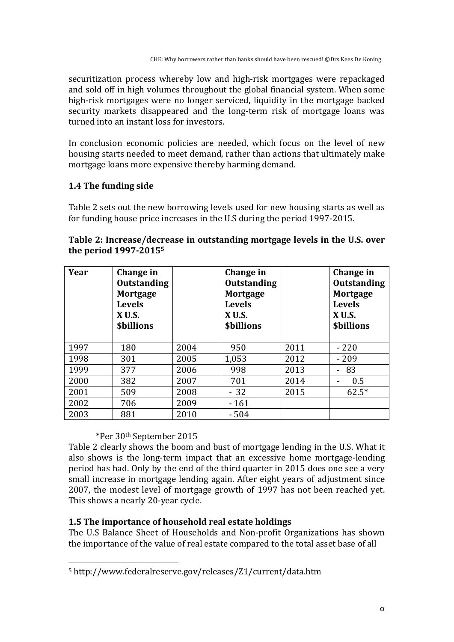securitization process whereby low and high-risk mortgages were repackaged and sold off in high volumes throughout the global financial system. When some high-risk mortgages were no longer serviced, liquidity in the mortgage backed security markets disappeared and the long-term risk of mortgage loans was turned into an instant loss for investors.

In conclusion economic policies are needed, which focus on the level of new housing starts needed to meet demand, rather than actions that ultimately make mortgage loans more expensive thereby harming demand.

# **1.4 The funding side**

Table 2 sets out the new borrowing levels used for new housing starts as well as for funding house price increases in the U.S during the period 1997-2015.

|                                   | Table 2: Increase/decrease in outstanding mortgage levels in the U.S. over |  |  |
|-----------------------------------|----------------------------------------------------------------------------|--|--|
| the period 1997-2015 <sup>5</sup> |                                                                            |  |  |

| Year | Change in<br><b>Outstanding</b><br>Mortgage<br><b>Levels</b><br><b>X U.S.</b><br><b><i><u>Sbillions</u></i></b> |      | Change in<br><b>Outstanding</b><br>Mortgage<br><b>Levels</b><br><b>X U.S.</b><br><b><i><u>Sbillions</u></i></b> |      | Change in<br><b>Outstanding</b><br>Mortgage<br><b>Levels</b><br><b>X U.S.</b><br><b><i><u>Sbillions</u></i></b> |
|------|-----------------------------------------------------------------------------------------------------------------|------|-----------------------------------------------------------------------------------------------------------------|------|-----------------------------------------------------------------------------------------------------------------|
| 1997 | 180                                                                                                             | 2004 | 950                                                                                                             | 2011 | $-220$                                                                                                          |
| 1998 | 301                                                                                                             | 2005 | 1,053                                                                                                           | 2012 | $-209$                                                                                                          |
| 1999 | 377                                                                                                             | 2006 | 998                                                                                                             | 2013 | -83<br>$\mathbf{r}$                                                                                             |
| 2000 | 382                                                                                                             | 2007 | 701                                                                                                             | 2014 | 0.5                                                                                                             |
| 2001 | 509                                                                                                             | 2008 | $-32$                                                                                                           | 2015 | $62.5*$                                                                                                         |
| 2002 | 706                                                                                                             | 2009 | $-161$                                                                                                          |      |                                                                                                                 |
| 2003 | 881                                                                                                             | 2010 | $-504$                                                                                                          |      |                                                                                                                 |

# \*Per 30th September 2015

 

Table 2 clearly shows the boom and bust of mortgage lending in the U.S. What it also shows is the long-term impact that an excessive home mortgage-lending period has had. Only by the end of the third quarter in 2015 does one see a very small increase in mortgage lending again. After eight years of adjustment since 2007, the modest level of mortgage growth of 1997 has not been reached vet. This shows a nearly 20-year cycle.

# **1.5 The importance of household real estate holdings**

The U.S Balance Sheet of Households and Non-profit Organizations has shown the importance of the value of real estate compared to the total asset base of all

<sup>5</sup> http://www.federalreserve.gov/releases/Z1/current/data.htm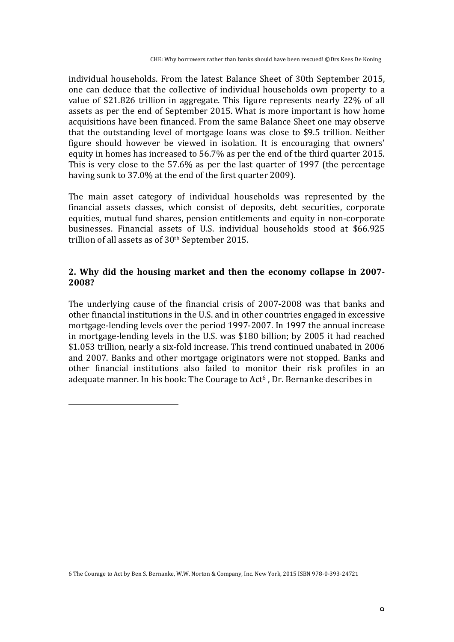individual households. From the latest Balance Sheet of 30th September 2015, one can deduce that the collective of individual households own property to a value of \$21.826 trillion in aggregate. This figure represents nearly 22% of all assets as per the end of September 2015. What is more important is how home acquisitions have been financed. From the same Balance Sheet one may observe that the outstanding level of mortgage loans was close to \$9.5 trillion. Neither figure should however be viewed in isolation. It is encouraging that owners' equity in homes has increased to 56.7% as per the end of the third quarter 2015. This is very close to the  $57.6\%$  as per the last quarter of 1997 (the percentage having sunk to 37.0% at the end of the first quarter 2009).

The main asset category of individual households was represented by the financial assets classes, which consist of deposits, debt securities, corporate equities, mutual fund shares, pension entitlements and equity in non-corporate businesses. Financial assets of U.S. individual households stood at \$66.925 trillion of all assets as of  $30<sup>th</sup>$  September 2015.

# **2. Why did the housing market and then the economy collapse in 2007- 2008?**

The underlying cause of the financial crisis of 2007-2008 was that banks and other financial institutions in the U.S. and in other countries engaged in excessive mortgage-lending levels over the period 1997-2007. In 1997 the annual increase in mortgage-lending levels in the U.S. was \$180 billion; by 2005 it had reached \$1.053 trillion, nearly a six-fold increase. This trend continued unabated in 2006 and 2007. Banks and other mortgage originators were not stopped. Banks and other financial institutions also failed to monitor their risk profiles in an adequate manner. In his book: The Courage to Act<sup>6</sup>, Dr. Bernanke describes in

<sup>6</sup> The Courage to Act by Ben S. Bernanke, W.W. Norton & Company, Inc. New York, 2015 ISBN 978-0-393-24721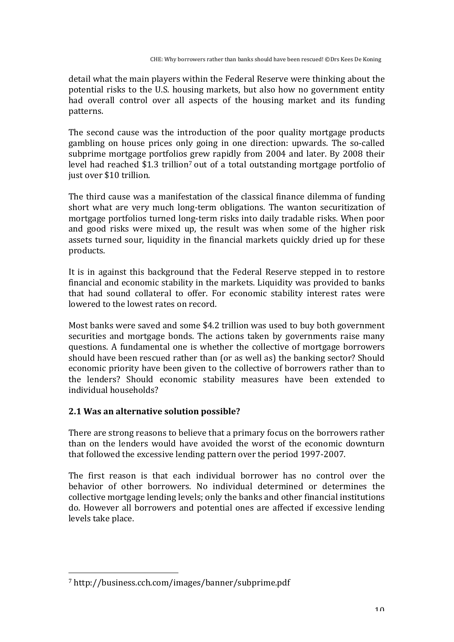detail what the main players within the Federal Reserve were thinking about the potential risks to the U.S. housing markets, but also how no government entity had overall control over all aspects of the housing market and its funding patterns.

The second cause was the introduction of the poor quality mortgage products gambling on house prices only going in one direction: upwards. The so-called subprime mortgage portfolios grew rapidly from 2004 and later. By 2008 their level had reached  $$1.3$  trillion<sup>7</sup> out of a total outstanding mortgage portfolio of just over \$10 trillion.

The third cause was a manifestation of the classical finance dilemma of funding short what are very much long-term obligations. The wanton securitization of mortgage portfolios turned long-term risks into daily tradable risks. When poor and good risks were mixed up, the result was when some of the higher risk assets turned sour, liquidity in the financial markets quickly dried up for these products.

It is in against this background that the Federal Reserve stepped in to restore financial and economic stability in the markets. Liquidity was provided to banks that had sound collateral to offer. For economic stability interest rates were lowered to the lowest rates on record.

Most banks were saved and some \$4.2 trillion was used to buy both government securities and mortgage bonds. The actions taken by governments raise many questions. A fundamental one is whether the collective of mortgage borrowers should have been rescued rather than (or as well as) the banking sector? Should economic priority have been given to the collective of borrowers rather than to the lenders? Should economic stability measures have been extended to individual households?

# **2.1 Was an alternative solution possible?**

There are strong reasons to believe that a primary focus on the borrowers rather than on the lenders would have avoided the worst of the economic downturn that followed the excessive lending pattern over the period 1997-2007.

The first reason is that each individual borrower has no control over the behavior of other borrowers. No individual determined or determines the collective mortgage lending levels; only the banks and other financial institutions do. However all borrowers and potential ones are affected if excessive lending levels take place.

 7 http://business.cch.com/images/banner/subprime.pdf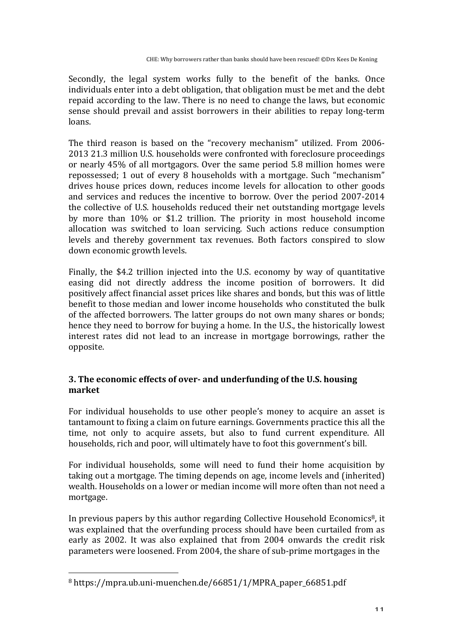Secondly, the legal system works fully to the benefit of the banks. Once individuals enter into a debt obligation, that obligation must be met and the debt repaid according to the law. There is no need to change the laws, but economic sense should prevail and assist borrowers in their abilities to repay long-term loans. 

The third reason is based on the "recovery mechanism" utilized. From 2006-2013 21.3 million U.S. households were confronted with foreclosure proceedings or nearly 45% of all mortgagors. Over the same period 5.8 million homes were repossessed; 1 out of every 8 households with a mortgage. Such "mechanism" drives house prices down, reduces income levels for allocation to other goods and services and reduces the incentive to borrow. Over the period 2007-2014 the collective of U.S. households reduced their net outstanding mortgage levels by more than 10% or \$1.2 trillion. The priority in most household income allocation was switched to loan servicing. Such actions reduce consumption levels and thereby government tax revenues. Both factors conspired to slow down economic growth levels.

Finally, the \$4.2 trillion injected into the U.S. economy by way of quantitative easing did not directly address the income position of borrowers. It did positively affect financial asset prices like shares and bonds, but this was of little benefit to those median and lower income households who constituted the bulk of the affected borrowers. The latter groups do not own many shares or bonds; hence they need to borrow for buying a home. In the U.S., the historically lowest interest rates did not lead to an increase in mortgage borrowings, rather the opposite.

# **3.** The economic effects of over- and underfunding of the U.S. housing **market**

For individual households to use other people's money to acquire an asset is tantamount to fixing a claim on future earnings. Governments practice this all the time, not only to acquire assets, but also to fund current expenditure. All households, rich and poor, will ultimately have to foot this government's bill.

For individual households, some will need to fund their home acquisition by taking out a mortgage. The timing depends on age, income levels and (inherited) wealth. Households on a lower or median income will more often than not need a mortgage. 

In previous papers by this author regarding Collective Household Economics<sup>8</sup>, it was explained that the overfunding process should have been curtailed from as early as 2002. It was also explained that from 2004 onwards the credit risk parameters were loosened. From 2004, the share of sub-prime mortgages in the

 $8$  https://mpra.ub.uni-muenchen.de/66851/1/MPRA\_paper\_66851.pdf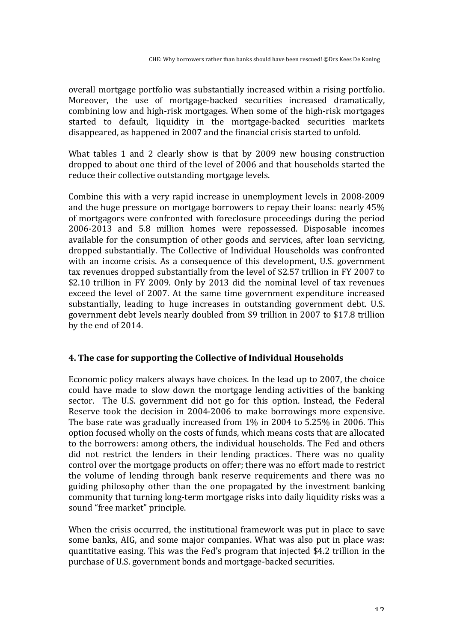overall mortgage portfolio was substantially increased within a rising portfolio. Moreover, the use of mortgage-backed securities increased dramatically, combining low and high-risk mortgages. When some of the high-risk mortgages started to default, liquidity in the mortgage-backed securities markets disappeared, as happened in 2007 and the financial crisis started to unfold.

What tables 1 and 2 clearly show is that by  $2009$  new housing construction dropped to about one third of the level of 2006 and that households started the reduce their collective outstanding mortgage levels.

Combine this with a very rapid increase in unemployment levels in 2008-2009 and the huge pressure on mortgage borrowers to repay their loans: nearly  $45\%$ of mortgagors were confronted with foreclosure proceedings during the period 2006-2013 and 5.8 million homes were repossessed. Disposable incomes available for the consumption of other goods and services, after loan servicing, dropped substantially. The Collective of Individual Households was confronted with an income crisis. As a consequence of this development, U.S. government tax revenues dropped substantially from the level of \$2.57 trillion in FY 2007 to \$2.10 trillion in FY 2009. Only by 2013 did the nominal level of tax revenues exceed the level of 2007. At the same time government expenditure increased substantially, leading to huge increases in outstanding government debt. U.S. government debt levels nearly doubled from \$9 trillion in 2007 to \$17.8 trillion by the end of 2014.

# **4.** The case for supporting the Collective of Individual Households

Economic policy makers always have choices. In the lead up to 2007, the choice could have made to slow down the mortgage lending activities of the banking sector. The U.S. government did not go for this option. Instead, the Federal Reserve took the decision in 2004-2006 to make borrowings more expensive. The base rate was gradually increased from  $1\%$  in 2004 to 5.25% in 2006. This option focused wholly on the costs of funds, which means costs that are allocated to the borrowers: among others, the individual households. The Fed and others did not restrict the lenders in their lending practices. There was no quality control over the mortgage products on offer; there was no effort made to restrict the volume of lending through bank reserve requirements and there was no guiding philosophy other than the one propagated by the investment banking community that turning long-term mortgage risks into daily liquidity risks was a sound "free market" principle.

When the crisis occurred, the institutional framework was put in place to save some banks, AIG, and some major companies. What was also put in place was: quantitative easing. This was the Fed's program that injected \$4.2 trillion in the purchase of U.S. government bonds and mortgage-backed securities.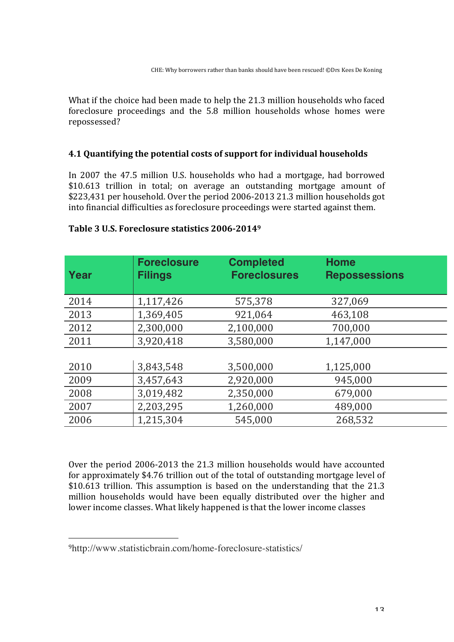What if the choice had been made to help the 21.3 million households who faced foreclosure proceedings and the 5.8 million households whose homes were repossessed?

#### **4.1 Quantifying the potential costs of support for individual households**

In 2007 the 47.5 million U.S. households who had a mortgage, had borrowed \$10.613 trillion in total; on average an outstanding mortgage amount of \$223,431 per household. Over the period 2006-2013 21.3 million households got into financial difficulties as foreclosure proceedings were started against them.

| Year | <b>Foreclosure</b><br><b>Filings</b> | <b>Completed</b><br><b>Foreclosures</b> | <b>Home</b><br><b>Repossessions</b> |
|------|--------------------------------------|-----------------------------------------|-------------------------------------|
| 2014 | 1,117,426                            | 575,378                                 | 327,069                             |
| 2013 | 1,369,405                            | 921,064                                 | 463,108                             |
| 2012 | 2,300,000                            | 2,100,000                               | 700,000                             |
| 2011 | 3,920,418                            | 3,580,000                               | 1,147,000                           |
|      |                                      |                                         |                                     |
| 2010 | 3,843,548                            | 3,500,000                               | 1,125,000                           |
| 2009 | 3,457,643                            | 2,920,000                               | 945,000                             |
| 2008 | 3,019,482                            | 2,350,000                               | 679,000                             |
| 2007 | 2,203,295                            | 1,260,000                               | 489,000                             |
| 2006 | 1,215,304                            | 545,000                                 | 268,532                             |

#### **Table 3 U.S. Foreclosure statistics 2006-2014<sup>9</sup>**

Over the period 2006-2013 the 21.3 million households would have accounted for approximately \$4.76 trillion out of the total of outstanding mortgage level of \$10.613 trillion. This assumption is based on the understanding that the 21.3 million households would have been equally distributed over the higher and lower income classes. What likely happened is that the lower income classes

<sup>9</sup>http://www.statisticbrain.com/home-foreclosure-statistics/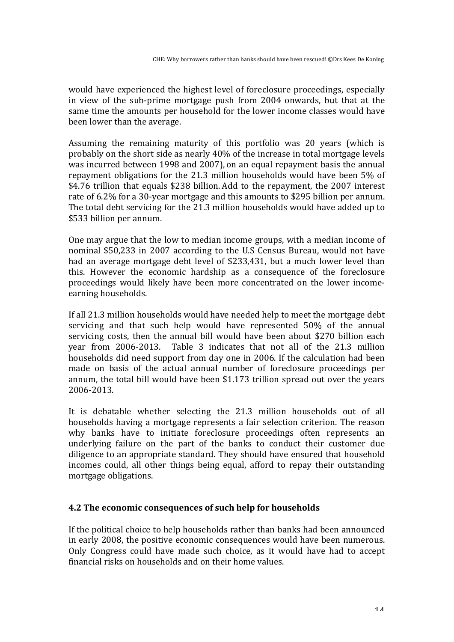would have experienced the highest level of foreclosure proceedings, especially in view of the sub-prime mortgage push from 2004 onwards, but that at the same time the amounts per household for the lower income classes would have been lower than the average.

Assuming the remaining maturity of this portfolio was 20 years (which is probably on the short side as nearly 40% of the increase in total mortgage levels was incurred between 1998 and 2007), on an equal repayment basis the annual repayment obligations for the 21.3 million households would have been 5% of \$4.76 trillion that equals \$238 billion. Add to the repayment, the 2007 interest rate of 6.2% for a 30-year mortgage and this amounts to \$295 billion per annum. The total debt servicing for the 21.3 million households would have added up to \$533 billion per annum.

One may argue that the low to median income groups, with a median income of nominal \$50,233 in 2007 according to the U.S Census Bureau, would not have had an average mortgage debt level of \$233,431, but a much lower level than this. However the economic hardship as a consequence of the foreclosure proceedings would likely have been more concentrated on the lower incomeearning households.

If all 21.3 million households would have needed help to meet the mortgage debt servicing and that such help would have represented 50% of the annual servicing costs, then the annual bill would have been about \$270 billion each year from 2006-2013. Table 3 indicates that not all of the 21.3 million households did need support from day one in 2006. If the calculation had been made on basis of the actual annual number of foreclosure proceedings per annum, the total bill would have been \$1.173 trillion spread out over the years 2006-2013.

It is debatable whether selecting the 21.3 million households out of all households having a mortgage represents a fair selection criterion. The reason why banks have to initiate foreclosure proceedings often represents an underlying failure on the part of the banks to conduct their customer due diligence to an appropriate standard. They should have ensured that household incomes could, all other things being equal, afford to repay their outstanding mortgage obligations.

#### **4.2** The economic consequences of such help for households

If the political choice to help households rather than banks had been announced in early 2008, the positive economic consequences would have been numerous. Only Congress could have made such choice, as it would have had to accept financial risks on households and on their home values.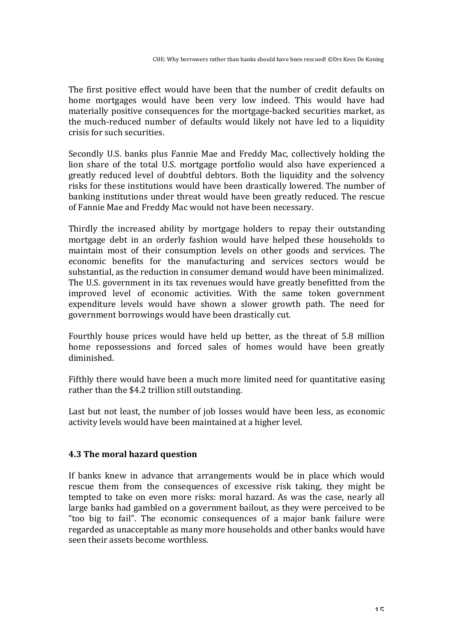The first positive effect would have been that the number of credit defaults on home mortgages would have been very low indeed. This would have had materially positive consequences for the mortgage-backed securities market, as the much-reduced number of defaults would likely not have led to a liquidity crisis for such securities.

Secondly U.S. banks plus Fannie Mae and Freddy Mac, collectively holding the lion share of the total U.S. mortgage portfolio would also have experienced a greatly reduced level of doubtful debtors. Both the liquidity and the solvency risks for these institutions would have been drastically lowered. The number of banking institutions under threat would have been greatly reduced. The rescue of Fannie Mae and Freddy Mac would not have been necessary.

Thirdly the increased ability by mortgage holders to repay their outstanding mortgage debt in an orderly fashion would have helped these households to maintain most of their consumption levels on other goods and services. The economic benefits for the manufacturing and services sectors would be substantial, as the reduction in consumer demand would have been minimalized. The U.S. government in its tax revenues would have greatly benefitted from the improved level of economic activities. With the same token government expenditure levels would have shown a slower growth path. The need for government borrowings would have been drastically cut.

Fourthly house prices would have held up better, as the threat of 5.8 million home repossessions and forced sales of homes would have been greatly diminished. 

Fifthly there would have been a much more limited need for quantitative easing rather than the \$4.2 trillion still outstanding.

Last but not least, the number of job losses would have been less, as economic activity levels would have been maintained at a higher level.

# **4.3 The moral hazard question**

If banks knew in advance that arrangements would be in place which would rescue them from the consequences of excessive risk taking, they might be tempted to take on even more risks: moral hazard. As was the case, nearly all large banks had gambled on a government bailout, as they were perceived to be "too big to fail". The economic consequences of a major bank failure were regarded as unacceptable as many more households and other banks would have seen their assets become worthless.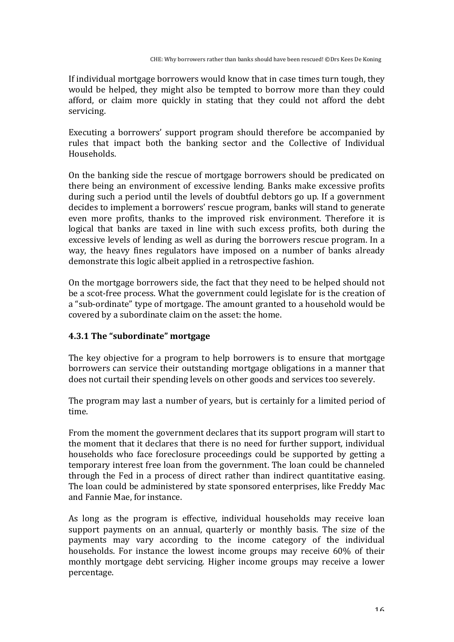If individual mortgage borrowers would know that in case times turn tough, they would be helped, they might also be tempted to borrow more than they could afford, or claim more quickly in stating that they could not afford the debt servicing.

Executing a borrowers' support program should therefore be accompanied by rules that impact both the banking sector and the Collective of Individual Households.

On the banking side the rescue of mortgage borrowers should be predicated on there being an environment of excessive lending. Banks make excessive profits during such a period until the levels of doubtful debtors go up. If a government decides to implement a borrowers' rescue program, banks will stand to generate even more profits, thanks to the improved risk environment. Therefore it is logical that banks are taxed in line with such excess profits, both during the excessive levels of lending as well as during the borrowers rescue program. In a way, the heavy fines regulators have imposed on a number of banks already demonstrate this logic albeit applied in a retrospective fashion.

On the mortgage borrowers side, the fact that they need to be helped should not be a scot-free process. What the government could legislate for is the creation of a "sub-ordinate" type of mortgage. The amount granted to a household would be covered by a subordinate claim on the asset: the home.

# **4.3.1 The "subordinate" mortgage**

The key objective for a program to help borrowers is to ensure that mortgage borrowers can service their outstanding mortgage obligations in a manner that does not curtail their spending levels on other goods and services too severely.

The program may last a number of years, but is certainly for a limited period of time. 

From the moment the government declares that its support program will start to the moment that it declares that there is no need for further support, individual households who face foreclosure proceedings could be supported by getting a temporary interest free loan from the government. The loan could be channeled through the Fed in a process of direct rather than indirect quantitative easing. The loan could be administered by state sponsored enterprises, like Freddy Mac and Fannie Mae, for instance.

As long as the program is effective, individual households may receive loan support payments on an annual, quarterly or monthly basis. The size of the payments may vary according to the income category of the individual households. For instance the lowest income groups may receive 60% of their monthly mortgage debt servicing. Higher income groups may receive a lower percentage.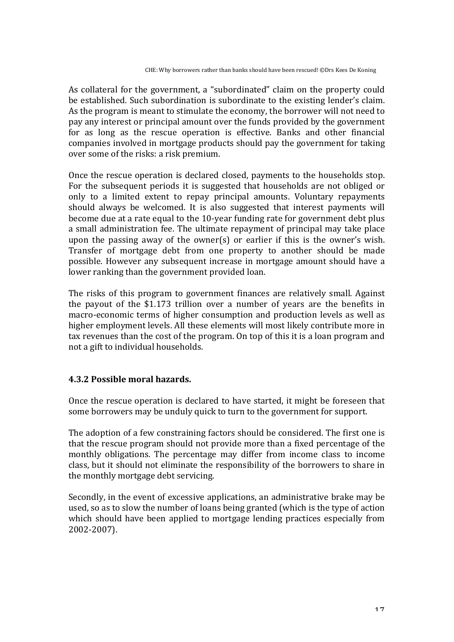As collateral for the government, a "subordinated" claim on the property could be established. Such subordination is subordinate to the existing lender's claim. As the program is meant to stimulate the economy, the borrower will not need to pay any interest or principal amount over the funds provided by the government for as long as the rescue operation is effective. Banks and other financial companies involved in mortgage products should pay the government for taking over some of the risks: a risk premium.

Once the rescue operation is declared closed, payments to the households stop. For the subsequent periods it is suggested that households are not obliged or only to a limited extent to repay principal amounts. Voluntary repayments should always be welcomed. It is also suggested that interest payments will become due at a rate equal to the 10-year funding rate for government debt plus a small administration fee. The ultimate repayment of principal may take place upon the passing away of the owner(s) or earlier if this is the owner's wish. Transfer of mortgage debt from one property to another should be made possible. However any subsequent increase in mortgage amount should have a lower ranking than the government provided loan.

The risks of this program to government finances are relatively small. Against the payout of the \$1.173 trillion over a number of years are the benefits in macro-economic terms of higher consumption and production levels as well as higher employment levels. All these elements will most likely contribute more in tax revenues than the cost of the program. On top of this it is a loan program and not a gift to individual households.

# **4.3.2 Possible moral hazards.**

Once the rescue operation is declared to have started, it might be foreseen that some borrowers may be unduly quick to turn to the government for support.

The adoption of a few constraining factors should be considered. The first one is that the rescue program should not provide more than a fixed percentage of the monthly obligations. The percentage may differ from income class to income class, but it should not eliminate the responsibility of the borrowers to share in the monthly mortgage debt servicing.

Secondly, in the event of excessive applications, an administrative brake may be used, so as to slow the number of loans being granted (which is the type of action which should have been applied to mortgage lending practices especially from 2002-2007).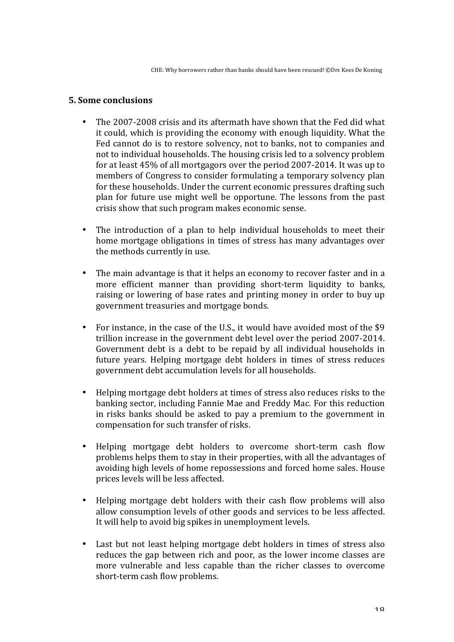#### **5. Some conclusions**

- The 2007-2008 crisis and its aftermath have shown that the Fed did what it could, which is providing the economy with enough liquidity. What the Fed cannot do is to restore solvency, not to banks, not to companies and not to individual households. The housing crisis led to a solvency problem for at least  $45\%$  of all mortgagors over the period 2007-2014. It was up to members of Congress to consider formulating a temporary solvency plan for these households. Under the current economic pressures drafting such plan for future use might well be opportune. The lessons from the past crisis show that such program makes economic sense.
- The introduction of a plan to help individual households to meet their home mortgage obligations in times of stress has many advantages over the methods currently in use.
- The main advantage is that it helps an economy to recover faster and in a more efficient manner than providing short-term liquidity to banks, raising or lowering of base rates and printing money in order to buy up government treasuries and mortgage bonds.
- For instance, in the case of the U.S., it would have avoided most of the \$9 trillion increase in the government debt level over the period 2007-2014. Government debt is a debt to be repaid by all individual households in future years. Helping mortgage debt holders in times of stress reduces government debt accumulation levels for all households.
- Helping mortgage debt holders at times of stress also reduces risks to the banking sector, including Fannie Mae and Freddy Mac. For this reduction in risks banks should be asked to pay a premium to the government in compensation for such transfer of risks.
- Helping mortgage debt holders to overcome short-term cash flow problems helps them to stay in their properties, with all the advantages of avoiding high levels of home repossessions and forced home sales. House prices levels will be less affected.
- Helping mortgage debt holders with their cash flow problems will also allow consumption levels of other goods and services to be less affected. It will help to avoid big spikes in unemployment levels.
- Last but not least helping mortgage debt holders in times of stress also reduces the gap between rich and poor, as the lower income classes are more vulnerable and less capable than the richer classes to overcome short-term cash flow problems.